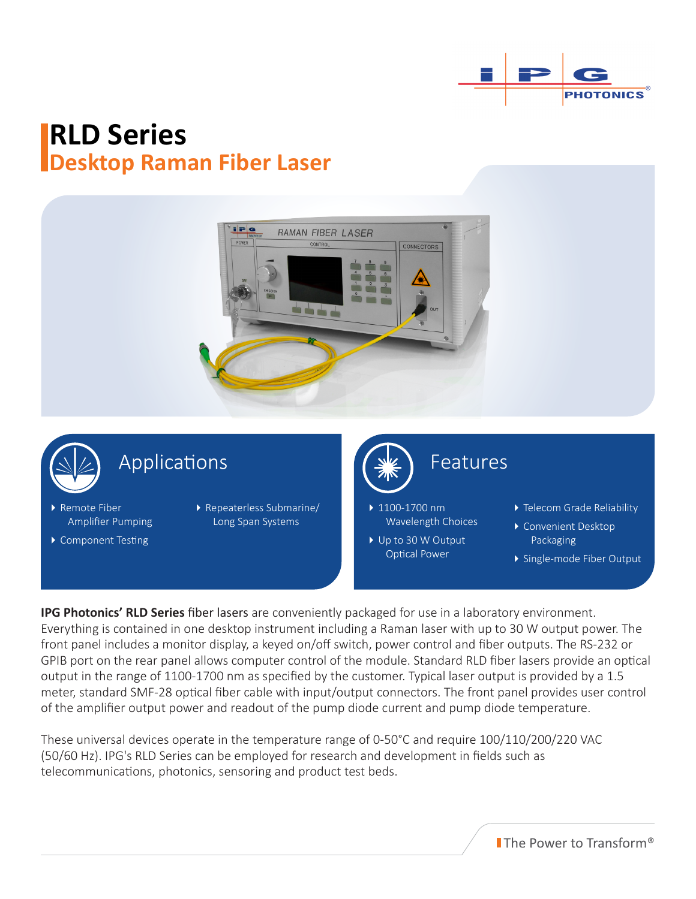

# **RLD Series Desktop Raman Fiber Laser**





## Applications

- ▶ Remote Fiber Amplifier Pumping
- ▶ Component Testing
- Repeaterless Submarine/ Long Span Systems

▶ 1100-1700 nm Wavelength Choices

▶ Up to 30 W Output Optical Power

Features

- ▶ Telecom Grade Reliability
- ▶ Convenient Desktop Packaging
- Single-mode Fiber Output

**IPG Photonics' RLD Series** fiber lasers are conveniently packaged for use in a laboratory environment. Everything is contained in one desktop instrument including a Raman laser with up to 30 W output power. The front panel includes a monitor display, a keyed on/off switch, power control and fiber outputs. The RS-232 or GPIB port on the rear panel allows computer control of the module. Standard RLD fiber lasers provide an optical output in the range of 1100-1700 nm as specified by the customer. Typical laser output is provided by a 1.5 meter, standard SMF-28 optical fiber cable with input/output connectors. The front panel provides user control of the amplifier output power and readout of the pump diode current and pump diode temperature.

These universal devices operate in the temperature range of 0-50°C and require 100/110/200/220 VAC (50/60 Hz). IPG's RLD Series can be employed for research and development in fields such as telecommunications, photonics, sensoring and product test beds.